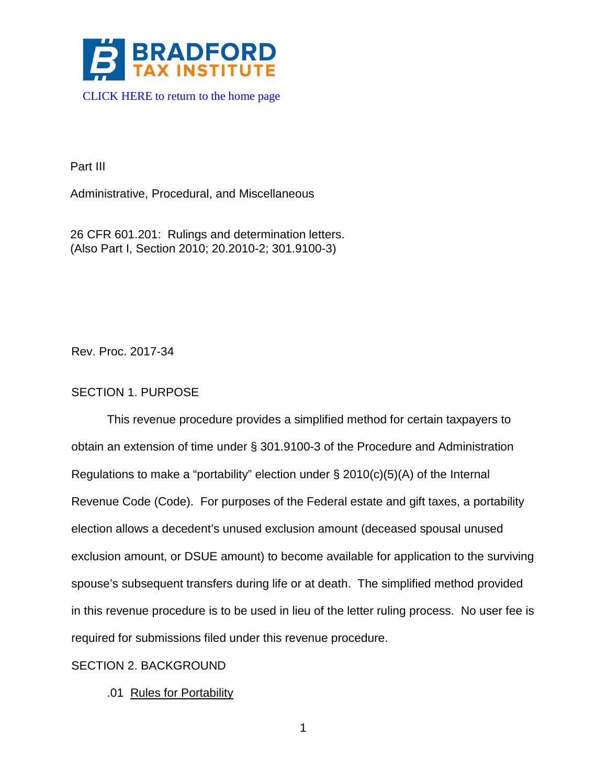

Part III

Administrative, Procedural, and Miscellaneous

26 CFR 601.201: Rulings and determination letters. (Also Part I, Section 2010; 20.2010-2; 301.9100-3)

Rev. Proc. 2017-34

# SECTION 1. PURPOSE

This revenue procedure provides a simplified method for certain taxpayers to obtain an extension of time under § 301.9100-3 of the Procedure and Administration Regulations to make a "portability" election under § 2010(c)(5)(A) of the Internal Revenue Code (Code). For purposes of the Federal estate and gift taxes, a portability election allows a decedent's unused exclusion amount (deceased spousal unused exclusion amount, or DSUE amount) to become available for application to the surviving spouse's subsequent transfers during life or at death. The simplified method provided in this revenue procedure is to be used in lieu of the letter ruling process. No user fee is required for submissions filed under this revenue procedure.

## SECTION 2. BACKGROUND

.01 Rules for Portability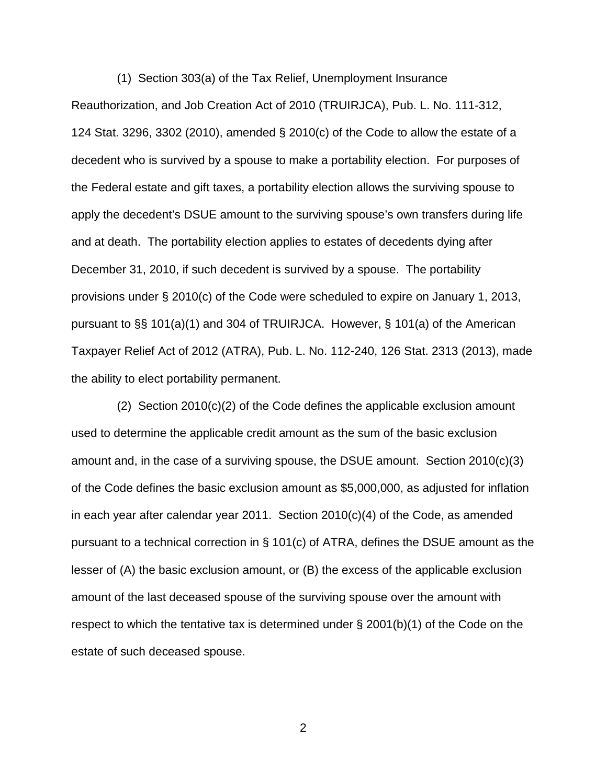(1) Section 303(a) of the Tax Relief, Unemployment Insurance Reauthorization, and Job Creation Act of 2010 (TRUIRJCA), Pub. L. No. 111-312, 124 Stat. 3296, 3302 (2010), amended § 2010(c) of the Code to allow the estate of a decedent who is survived by a spouse to make a portability election. For purposes of the Federal estate and gift taxes, a portability election allows the surviving spouse to apply the decedent's DSUE amount to the surviving spouse's own transfers during life and at death. The portability election applies to estates of decedents dying after December 31, 2010, if such decedent is survived by a spouse. The portability provisions under § 2010(c) of the Code were scheduled to expire on January 1, 2013, pursuant to §§ 101(a)(1) and 304 of TRUIRJCA. However, § 101(a) of the American Taxpayer Relief Act of 2012 (ATRA), Pub. L. No. 112-240, 126 Stat. 2313 (2013), made the ability to elect portability permanent.

 (2) Section 2010(c)(2) of the Code defines the applicable exclusion amount used to determine the applicable credit amount as the sum of the basic exclusion amount and, in the case of a surviving spouse, the DSUE amount. Section 2010(c)(3) of the Code defines the basic exclusion amount as \$5,000,000, as adjusted for inflation in each year after calendar year 2011. Section 2010(c)(4) of the Code, as amended pursuant to a technical correction in § 101(c) of ATRA, defines the DSUE amount as the lesser of (A) the basic exclusion amount, or (B) the excess of the applicable exclusion amount of the last deceased spouse of the surviving spouse over the amount with respect to which the tentative tax is determined under  $\S$  2001(b)(1) of the Code on the estate of such deceased spouse.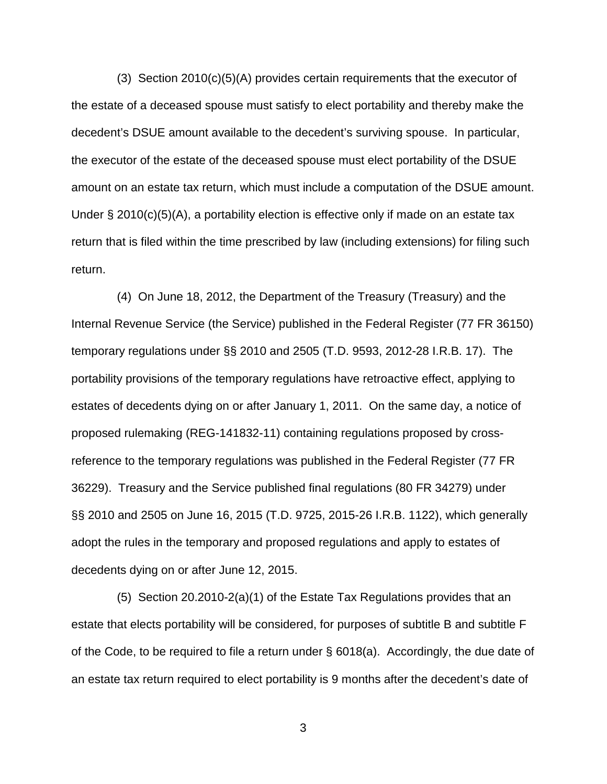(3) Section 2010(c)(5)(A) provides certain requirements that the executor of the estate of a deceased spouse must satisfy to elect portability and thereby make the decedent's DSUE amount available to the decedent's surviving spouse. In particular, the executor of the estate of the deceased spouse must elect portability of the DSUE amount on an estate tax return, which must include a computation of the DSUE amount. Under  $\S 2010(c)(5)(A)$ , a portability election is effective only if made on an estate tax return that is filed within the time prescribed by law (including extensions) for filing such return.

 (4) On June 18, 2012, the Department of the Treasury (Treasury) and the Internal Revenue Service (the Service) published in the Federal Register (77 FR 36150) temporary regulations under §§ 2010 and 2505 (T.D. 9593, 2012-28 I.R.B. 17). The portability provisions of the temporary regulations have retroactive effect, applying to estates of decedents dying on or after January 1, 2011. On the same day, a notice of proposed rulemaking (REG-141832-11) containing regulations proposed by crossreference to the temporary regulations was published in the Federal Register (77 FR 36229). Treasury and the Service published final regulations (80 FR 34279) under §§ 2010 and 2505 on June 16, 2015 (T.D. 9725, 2015-26 I.R.B. 1122), which generally adopt the rules in the temporary and proposed regulations and apply to estates of decedents dying on or after June 12, 2015.

 (5) Section 20.2010-2(a)(1) of the Estate Tax Regulations provides that an estate that elects portability will be considered, for purposes of subtitle B and subtitle F of the Code, to be required to file a return under § 6018(a). Accordingly, the due date of an estate tax return required to elect portability is 9 months after the decedent's date of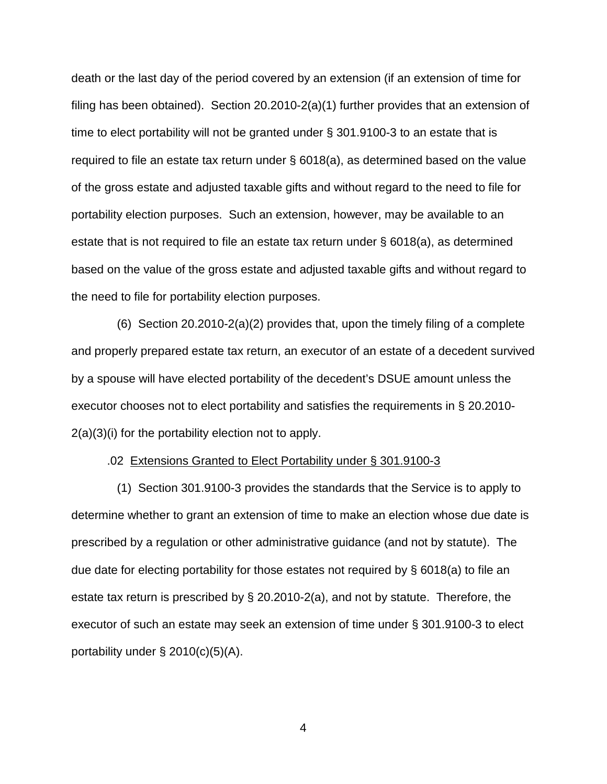death or the last day of the period covered by an extension (if an extension of time for filing has been obtained). Section 20.2010-2(a)(1) further provides that an extension of time to elect portability will not be granted under § 301.9100-3 to an estate that is required to file an estate tax return under § 6018(a), as determined based on the value of the gross estate and adjusted taxable gifts and without regard to the need to file for portability election purposes. Such an extension, however, may be available to an estate that is not required to file an estate tax return under § 6018(a), as determined based on the value of the gross estate and adjusted taxable gifts and without regard to the need to file for portability election purposes.

 (6) Section 20.2010-2(a)(2) provides that, upon the timely filing of a complete and properly prepared estate tax return, an executor of an estate of a decedent survived by a spouse will have elected portability of the decedent's DSUE amount unless the executor chooses not to elect portability and satisfies the requirements in § 20.2010- 2(a)(3)(i) for the portability election not to apply.

### .02 Extensions Granted to Elect Portability under § 301.9100-3

 (1) Section 301.9100-3 provides the standards that the Service is to apply to determine whether to grant an extension of time to make an election whose due date is prescribed by a regulation or other administrative guidance (and not by statute). The due date for electing portability for those estates not required by § 6018(a) to file an estate tax return is prescribed by § 20.2010-2(a), and not by statute. Therefore, the executor of such an estate may seek an extension of time under § 301.9100-3 to elect portability under  $\S$  2010(c)(5)(A).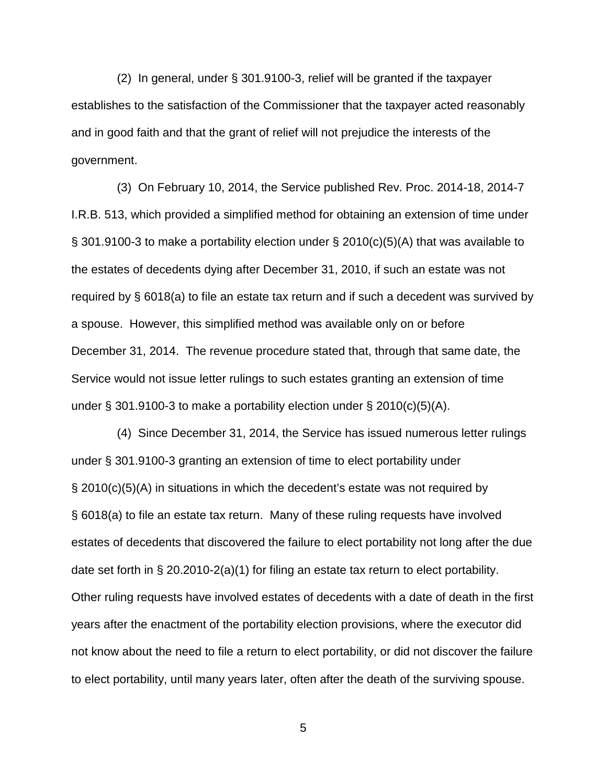(2) In general, under § 301.9100-3, relief will be granted if the taxpayer establishes to the satisfaction of the Commissioner that the taxpayer acted reasonably and in good faith and that the grant of relief will not prejudice the interests of the government.

 (3) On February 10, 2014, the Service published Rev. Proc. 2014-18, 2014-7 I.R.B. 513, which provided a simplified method for obtaining an extension of time under § 301.9100-3 to make a portability election under § 2010(c)(5)(A) that was available to the estates of decedents dying after December 31, 2010, if such an estate was not required by § 6018(a) to file an estate tax return and if such a decedent was survived by a spouse. However, this simplified method was available only on or before December 31, 2014. The revenue procedure stated that, through that same date, the Service would not issue letter rulings to such estates granting an extension of time under § 301.9100-3 to make a portability election under § 2010(c)(5)(A).

 (4) Since December 31, 2014, the Service has issued numerous letter rulings under § 301.9100-3 granting an extension of time to elect portability under § 2010(c)(5)(A) in situations in which the decedent's estate was not required by § 6018(a) to file an estate tax return. Many of these ruling requests have involved estates of decedents that discovered the failure to elect portability not long after the due date set forth in § 20.2010-2(a)(1) for filing an estate tax return to elect portability. Other ruling requests have involved estates of decedents with a date of death in the first years after the enactment of the portability election provisions, where the executor did not know about the need to file a return to elect portability, or did not discover the failure to elect portability, until many years later, often after the death of the surviving spouse.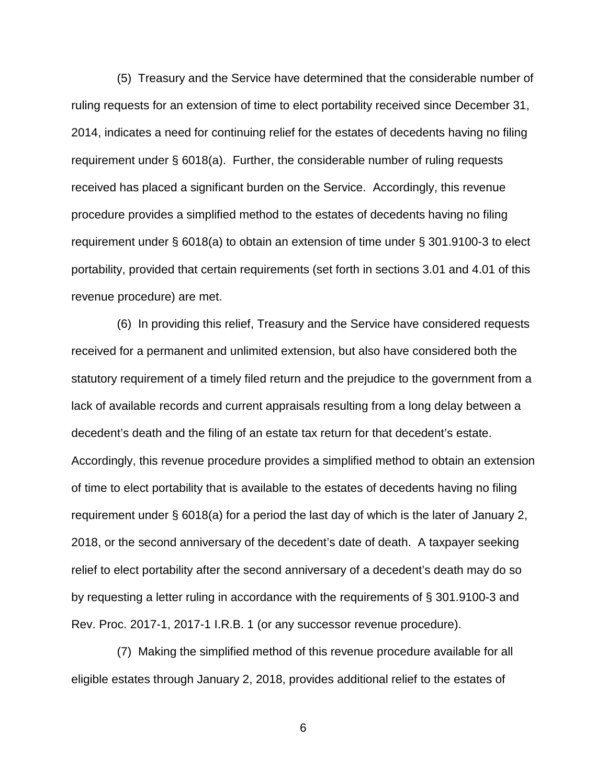(5) Treasury and the Service have determined that the considerable number of ruling requests for an extension of time to elect portability received since December 31, 2014, indicates a need for continuing relief for the estates of decedents having no filing requirement under § 6018(a). Further, the considerable number of ruling requests received has placed a significant burden on the Service. Accordingly, this revenue procedure provides a simplified method to the estates of decedents having no filing requirement under § 6018(a) to obtain an extension of time under § 301.9100-3 to elect portability, provided that certain requirements (set forth in sections 3.01 and 4.01 of this revenue procedure) are met.

 (6) In providing this relief, Treasury and the Service have considered requests received for a permanent and unlimited extension, but also have considered both the statutory requirement of a timely filed return and the prejudice to the government from a lack of available records and current appraisals resulting from a long delay between a decedent's death and the filing of an estate tax return for that decedent's estate. Accordingly, this revenue procedure provides a simplified method to obtain an extension of time to elect portability that is available to the estates of decedents having no filing requirement under § 6018(a) for a period the last day of which is the later of January 2, 2018, or the second anniversary of the decedent's date of death. A taxpayer seeking relief to elect portability after the second anniversary of a decedent's death may do so by requesting a letter ruling in accordance with the requirements of § 301.9100-3 and Rev. Proc. 2017-1, 2017-1 I.R.B. 1 (or any successor revenue procedure).

 (7) Making the simplified method of this revenue procedure available for all eligible estates through January 2, 2018, provides additional relief to the estates of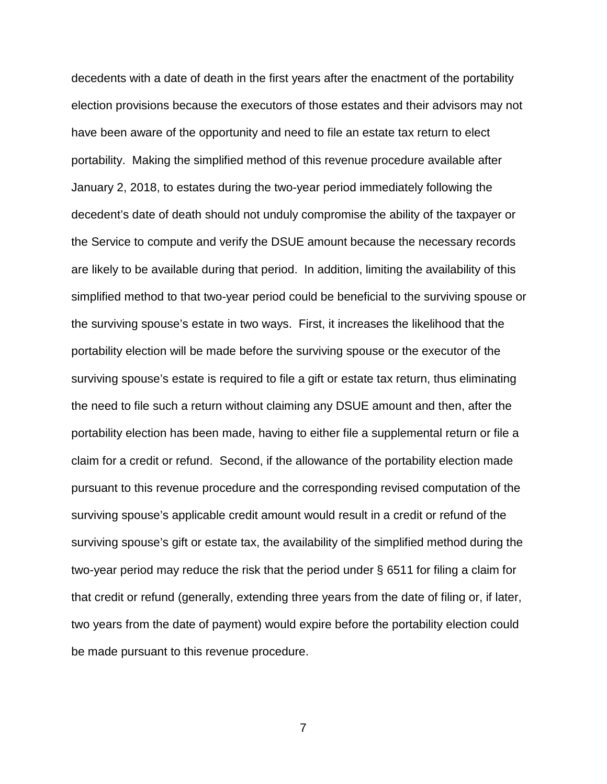decedents with a date of death in the first years after the enactment of the portability election provisions because the executors of those estates and their advisors may not have been aware of the opportunity and need to file an estate tax return to elect portability. Making the simplified method of this revenue procedure available after January 2, 2018, to estates during the two-year period immediately following the decedent's date of death should not unduly compromise the ability of the taxpayer or the Service to compute and verify the DSUE amount because the necessary records are likely to be available during that period. In addition, limiting the availability of this simplified method to that two-year period could be beneficial to the surviving spouse or the surviving spouse's estate in two ways. First, it increases the likelihood that the portability election will be made before the surviving spouse or the executor of the surviving spouse's estate is required to file a gift or estate tax return, thus eliminating the need to file such a return without claiming any DSUE amount and then, after the portability election has been made, having to either file a supplemental return or file a claim for a credit or refund. Second, if the allowance of the portability election made pursuant to this revenue procedure and the corresponding revised computation of the surviving spouse's applicable credit amount would result in a credit or refund of the surviving spouse's gift or estate tax, the availability of the simplified method during the two-year period may reduce the risk that the period under § 6511 for filing a claim for that credit or refund (generally, extending three years from the date of filing or, if later, two years from the date of payment) would expire before the portability election could be made pursuant to this revenue procedure.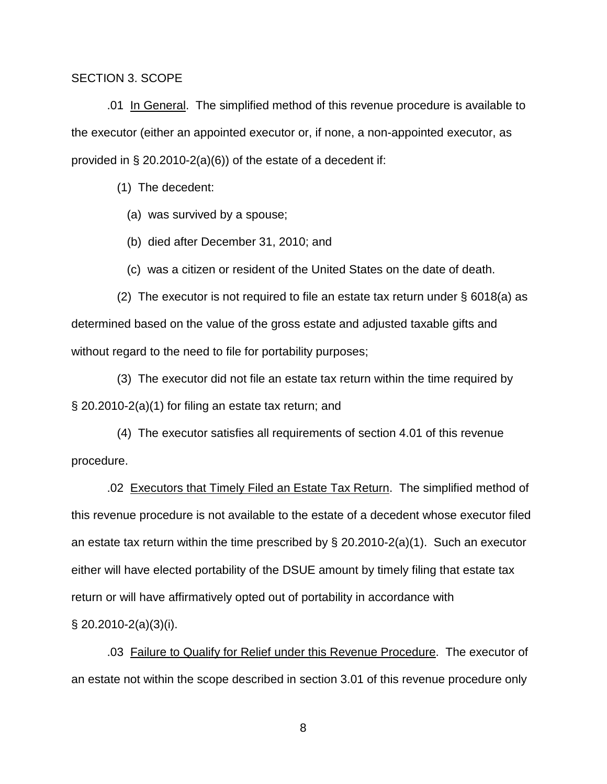### SECTION 3. SCOPE

.01 In General. The simplified method of this revenue procedure is available to the executor (either an appointed executor or, if none, a non-appointed executor, as provided in  $\S 20.2010-2(a)(6)$  of the estate of a decedent if:

(1) The decedent:

- (a) was survived by a spouse;
- (b) died after December 31, 2010; and
- (c) was a citizen or resident of the United States on the date of death.

 (2) The executor is not required to file an estate tax return under § 6018(a) as determined based on the value of the gross estate and adjusted taxable gifts and without regard to the need to file for portability purposes;

 (3) The executor did not file an estate tax return within the time required by § 20.2010-2(a)(1) for filing an estate tax return; and

 (4) The executor satisfies all requirements of section 4.01 of this revenue procedure.

.02 Executors that Timely Filed an Estate Tax Return. The simplified method of this revenue procedure is not available to the estate of a decedent whose executor filed an estate tax return within the time prescribed by § 20.2010-2(a)(1). Such an executor either will have elected portability of the DSUE amount by timely filing that estate tax return or will have affirmatively opted out of portability in accordance with  $\S$  20.2010-2(a)(3)(i).

.03 Failure to Qualify for Relief under this Revenue Procedure. The executor of an estate not within the scope described in section 3.01 of this revenue procedure only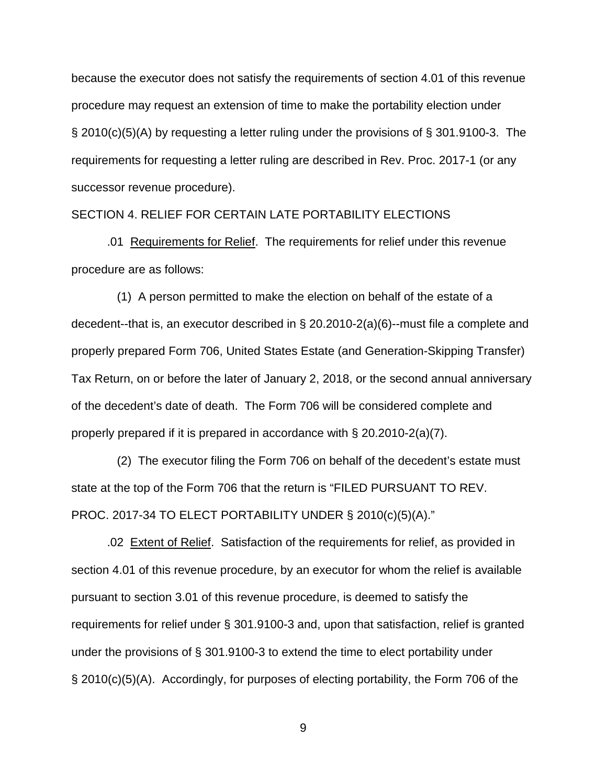because the executor does not satisfy the requirements of section 4.01 of this revenue procedure may request an extension of time to make the portability election under § 2010(c)(5)(A) by requesting a letter ruling under the provisions of § 301.9100-3. The requirements for requesting a letter ruling are described in Rev. Proc. 2017-1 (or any successor revenue procedure).

## SECTION 4. RELIEF FOR CERTAIN LATE PORTABILITY ELECTIONS

.01 Requirements for Relief. The requirements for relief under this revenue procedure are as follows:

 (1) A person permitted to make the election on behalf of the estate of a decedent--that is, an executor described in § 20.2010-2(a)(6)--must file a complete and properly prepared Form 706, United States Estate (and Generation-Skipping Transfer) Tax Return, on or before the later of January 2, 2018, or the second annual anniversary of the decedent's date of death. The Form 706 will be considered complete and properly prepared if it is prepared in accordance with  $\S 20.2010-2(a)(7)$ .

 (2) The executor filing the Form 706 on behalf of the decedent's estate must state at the top of the Form 706 that the return is "FILED PURSUANT TO REV. PROC. 2017-34 TO ELECT PORTABILITY UNDER § 2010(c)(5)(A)."

.02 Extent of Relief. Satisfaction of the requirements for relief, as provided in section 4.01 of this revenue procedure, by an executor for whom the relief is available pursuant to section 3.01 of this revenue procedure, is deemed to satisfy the requirements for relief under § 301.9100-3 and, upon that satisfaction, relief is granted under the provisions of § 301.9100-3 to extend the time to elect portability under § 2010(c)(5)(A). Accordingly, for purposes of electing portability, the Form 706 of the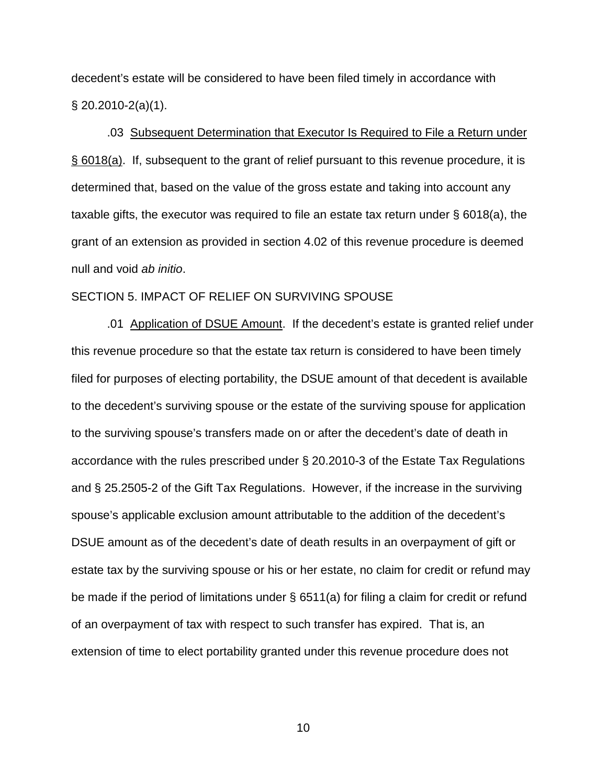decedent's estate will be considered to have been filed timely in accordance with  $\S$  20.2010-2(a)(1).

.03 Subsequent Determination that Executor Is Required to File a Return under § 6018(a). If, subsequent to the grant of relief pursuant to this revenue procedure, it is determined that, based on the value of the gross estate and taking into account any taxable gifts, the executor was required to file an estate tax return under § 6018(a), the grant of an extension as provided in section 4.02 of this revenue procedure is deemed null and void *ab initio*.

## SECTION 5. IMPACT OF RELIEF ON SURVIVING SPOUSE

.01 Application of DSUE Amount. If the decedent's estate is granted relief under this revenue procedure so that the estate tax return is considered to have been timely filed for purposes of electing portability, the DSUE amount of that decedent is available to the decedent's surviving spouse or the estate of the surviving spouse for application to the surviving spouse's transfers made on or after the decedent's date of death in accordance with the rules prescribed under § 20.2010-3 of the Estate Tax Regulations and § 25.2505-2 of the Gift Tax Regulations. However, if the increase in the surviving spouse's applicable exclusion amount attributable to the addition of the decedent's DSUE amount as of the decedent's date of death results in an overpayment of gift or estate tax by the surviving spouse or his or her estate, no claim for credit or refund may be made if the period of limitations under § 6511(a) for filing a claim for credit or refund of an overpayment of tax with respect to such transfer has expired. That is, an extension of time to elect portability granted under this revenue procedure does not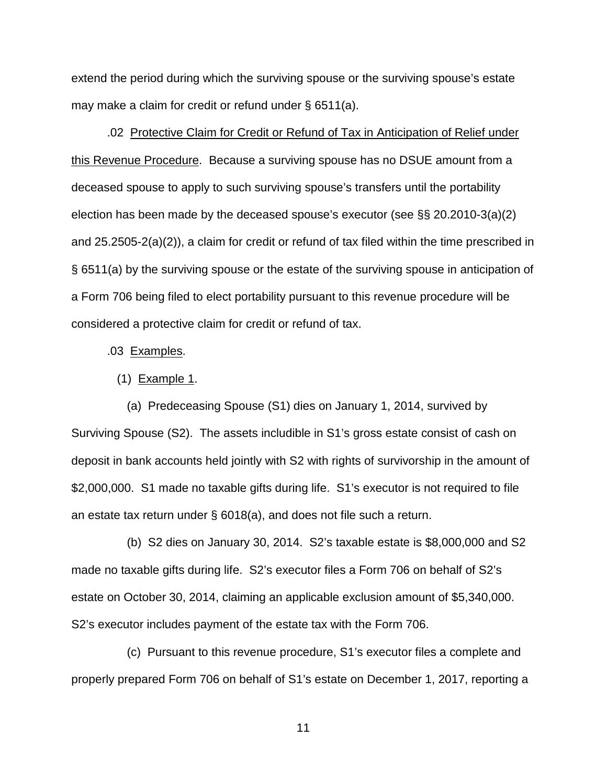extend the period during which the surviving spouse or the surviving spouse's estate may make a claim for credit or refund under § 6511(a).

.02 Protective Claim for Credit or Refund of Tax in Anticipation of Relief under this Revenue Procedure. Because a surviving spouse has no DSUE amount from a deceased spouse to apply to such surviving spouse's transfers until the portability election has been made by the deceased spouse's executor (see §§ 20.2010-3(a)(2) and 25.2505-2(a)(2)), a claim for credit or refund of tax filed within the time prescribed in § 6511(a) by the surviving spouse or the estate of the surviving spouse in anticipation of a Form 706 being filed to elect portability pursuant to this revenue procedure will be considered a protective claim for credit or refund of tax.

### .03 Examples.

### (1) Example 1.

 (a) Predeceasing Spouse (S1) dies on January 1, 2014, survived by Surviving Spouse (S2). The assets includible in S1's gross estate consist of cash on deposit in bank accounts held jointly with S2 with rights of survivorship in the amount of \$2,000,000. S1 made no taxable gifts during life. S1's executor is not required to file an estate tax return under § 6018(a), and does not file such a return.

 (b) S2 dies on January 30, 2014. S2's taxable estate is \$8,000,000 and S2 made no taxable gifts during life. S2's executor files a Form 706 on behalf of S2's estate on October 30, 2014, claiming an applicable exclusion amount of \$5,340,000. S2's executor includes payment of the estate tax with the Form 706.

 (c) Pursuant to this revenue procedure, S1's executor files a complete and properly prepared Form 706 on behalf of S1's estate on December 1, 2017, reporting a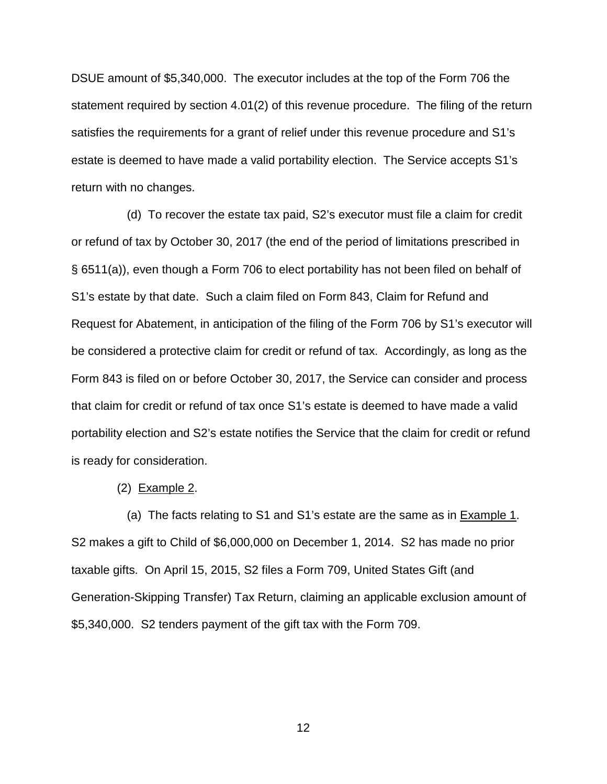DSUE amount of \$5,340,000. The executor includes at the top of the Form 706 the statement required by section 4.01(2) of this revenue procedure. The filing of the return satisfies the requirements for a grant of relief under this revenue procedure and S1's estate is deemed to have made a valid portability election. The Service accepts S1's return with no changes.

 (d) To recover the estate tax paid, S2's executor must file a claim for credit or refund of tax by October 30, 2017 (the end of the period of limitations prescribed in § 6511(a)), even though a Form 706 to elect portability has not been filed on behalf of S1's estate by that date. Such a claim filed on Form 843, Claim for Refund and Request for Abatement, in anticipation of the filing of the Form 706 by S1's executor will be considered a protective claim for credit or refund of tax. Accordingly, as long as the Form 843 is filed on or before October 30, 2017, the Service can consider and process that claim for credit or refund of tax once S1's estate is deemed to have made a valid portability election and S2's estate notifies the Service that the claim for credit or refund is ready for consideration.

#### (2) Example 2.

(a) The facts relating to S1 and S1's estate are the same as in **Example 1.** S2 makes a gift to Child of \$6,000,000 on December 1, 2014. S2 has made no prior taxable gifts. On April 15, 2015, S2 files a Form 709, United States Gift (and Generation-Skipping Transfer) Tax Return, claiming an applicable exclusion amount of \$5,340,000. S2 tenders payment of the gift tax with the Form 709.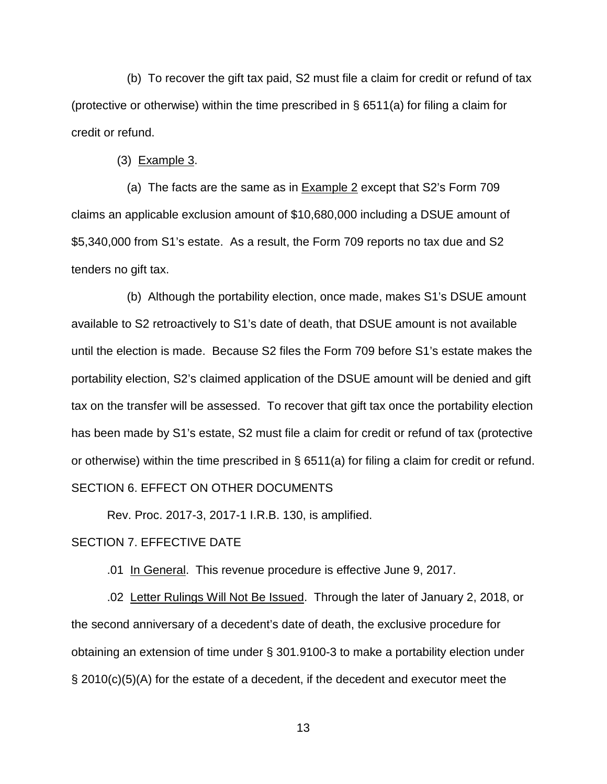(b) To recover the gift tax paid, S2 must file a claim for credit or refund of tax (protective or otherwise) within the time prescribed in § 6511(a) for filing a claim for credit or refund.

(3) Example 3.

(a) The facts are the same as in **Example 2** except that S2's Form 709 claims an applicable exclusion amount of \$10,680,000 including a DSUE amount of \$5,340,000 from S1's estate. As a result, the Form 709 reports no tax due and S2 tenders no gift tax.

 (b) Although the portability election, once made, makes S1's DSUE amount available to S2 retroactively to S1's date of death, that DSUE amount is not available until the election is made. Because S2 files the Form 709 before S1's estate makes the portability election, S2's claimed application of the DSUE amount will be denied and gift tax on the transfer will be assessed. To recover that gift tax once the portability election has been made by S1's estate, S2 must file a claim for credit or refund of tax (protective or otherwise) within the time prescribed in § 6511(a) for filing a claim for credit or refund. SECTION 6. EFFECT ON OTHER DOCUMENTS

Rev. Proc. 2017-3, 2017-1 I.R.B. 130, is amplified.

#### SECTION 7. EFFECTIVE DATE

.01 In General. This revenue procedure is effective June 9, 2017.

.02 Letter Rulings Will Not Be Issued. Through the later of January 2, 2018, or the second anniversary of a decedent's date of death, the exclusive procedure for obtaining an extension of time under § 301.9100-3 to make a portability election under § 2010(c)(5)(A) for the estate of a decedent, if the decedent and executor meet the